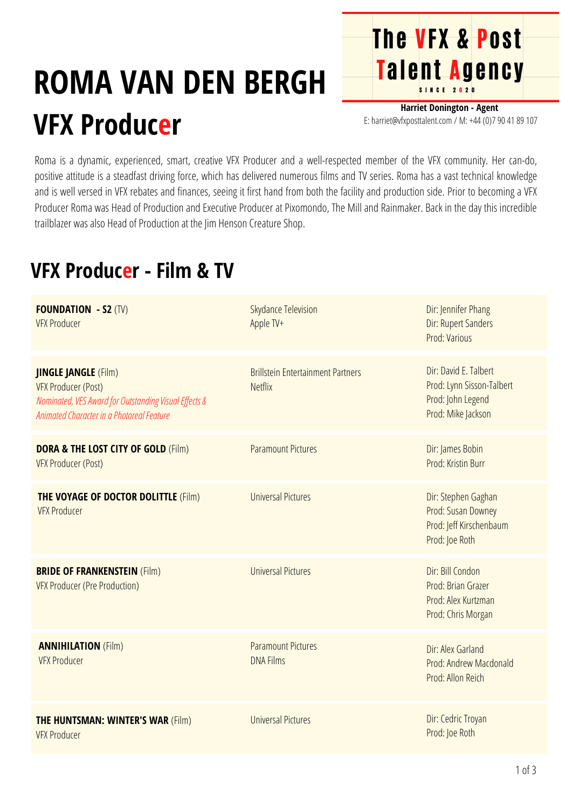## **ROMA VAN DEN BERGH VFX Producer**

**Harriet Donington - Agent** E: harriet@vfxposttalent.com / M:+44(0)7904189107

**The VFX & Post** 

Talent Agency

Roma is a dynamic, experienced, smart, creative VFX Producer and a well-respected member of the VFX community. Her can-do, positive attitude is a steadfast driving force, which has delivered numerous films and TV series. Roma has a vast technical knowledge and is well versed in VFX rebates and finances, seeing it first hand from both the facility and production side. Prior to becoming a VFX Producer Roma was Head of Production and Executive Producer at Pixomondo, The Mill and Rainmaker. Back in the day this incredible trailblazer was also Head of Production at the Jim Henson Creature Shop.

## **VFX Producer - Film & TV**

| <b>FOUNDATION - S2 (TV)</b><br><b>VFX Producer</b>                                                                                                              | <b>Skydance Television</b><br>Apple TV+                    | Dir: Jennifer Phang<br>Dir: Rupert Sanders<br>Prod: Various                                   |
|-----------------------------------------------------------------------------------------------------------------------------------------------------------------|------------------------------------------------------------|-----------------------------------------------------------------------------------------------|
| <b>JINGLE JANGLE</b> (Film)<br><b>VFX Producer (Post)</b><br>Nominated, VES Award for Outstanding Visual Effects &<br>Animated Character in a Photoreal Feature | <b>Brillstein Entertainment Partners</b><br><b>Netflix</b> | Dir: David E. Talbert<br>Prod: Lynn Sisson-Talbert<br>Prod: John Legend<br>Prod: Mike Jackson |
| <b>DORA &amp; THE LOST CITY OF GOLD (Film)</b><br><b>VFX Producer (Post)</b>                                                                                    | <b>Paramount Pictures</b>                                  | Dir: James Bobin<br>Prod: Kristin Burr                                                        |
| <b>THE VOYAGE OF DOCTOR DOLITTLE (Film)</b><br><b>VFX Producer</b>                                                                                              | <b>Universal Pictures</b>                                  | Dir: Stephen Gaghan<br><b>Prod: Susan Downey</b><br>Prod: Jeff Kirschenbaum<br>Prod: Joe Roth |
| <b>BRIDE OF FRANKENSTEIN (Film)</b><br><b>VFX Producer (Pre Production)</b>                                                                                     | <b>Universal Pictures</b>                                  | Dir: Bill Condon<br>Prod: Brian Grazer<br>Prod: Alex Kurtzman<br>Prod: Chris Morgan           |
| <b>ANNIHILATION (Film)</b><br><b>VFX Producer</b>                                                                                                               | <b>Paramount Pictures</b><br><b>DNA Films</b>              | Dir: Alex Garland<br>Prod: Andrew Macdonald<br>Prod: Allon Reich                              |
| <b>THE HUNTSMAN: WINTER'S WAR (Film)</b><br><b>VFX Producer</b>                                                                                                 | <b>Universal Pictures</b>                                  | Dir: Cedric Troyan<br>Prod: Joe Roth                                                          |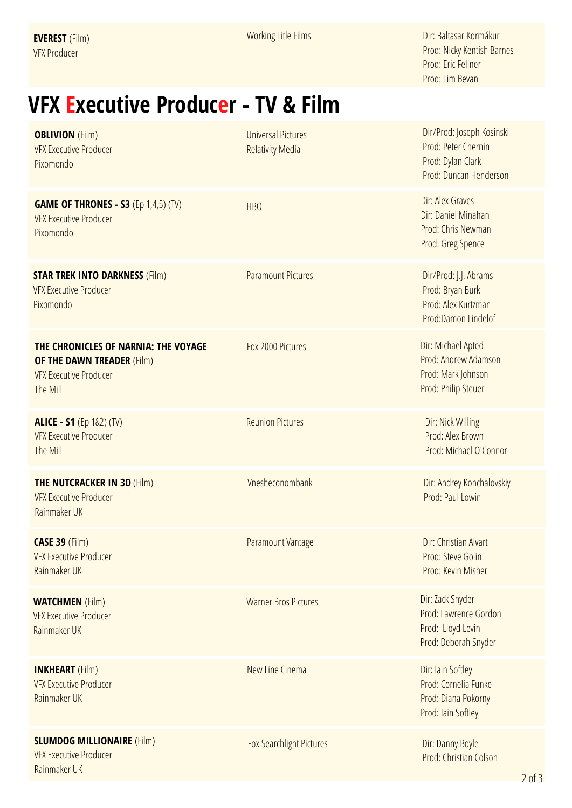Working Title Films

Dir: Baltasar Kormákur Prod: Nicky Kentish Barnes Prod: Eric Fellner Prod: Tim Bevan

## **VFX Executive Producer - TV & Film**

| <b>OBLIVION</b> (Film)<br><b>VFX Executive Producer</b><br>Pixomondo                                                   | <b>Universal Pictures</b><br><b>Relativity Media</b> | Dir/Prod: Joseph Kosinski<br>Prod: Peter Chernin<br>Prod: Dylan Clark<br>Prod: Duncan Henderson |
|------------------------------------------------------------------------------------------------------------------------|------------------------------------------------------|-------------------------------------------------------------------------------------------------|
| <b>GAME OF THRONES - S3 (Ep 1,4,5) (TV)</b><br><b>VFX Executive Producer</b><br>Pixomondo                              | <b>HBO</b>                                           | Dir: Alex Graves<br>Dir: Daniel Minahan<br>Prod: Chris Newman<br>Prod: Greg Spence              |
| <b>STAR TREK INTO DARKNESS (Film)</b><br><b>VFX Executive Producer</b><br>Pixomondo                                    | <b>Paramount Pictures</b>                            | Dir/Prod: J.J. Abrams<br>Prod: Bryan Burk<br>Prod: Alex Kurtzman<br>Prod:Damon Lindelof         |
| THE CHRONICLES OF NARNIA: THE VOYAGE<br><b>OF THE DAWN TREADER (Film)</b><br><b>VFX Executive Producer</b><br>The Mill | Fox 2000 Pictures                                    | Dir: Michael Apted<br>Prod: Andrew Adamson<br>Prod: Mark Johnson<br>Prod: Philip Steuer         |
| <b>ALICE - S1</b> (Ep 1&2) (TV)<br><b>VFX Executive Producer</b><br>The Mill                                           | <b>Reunion Pictures</b>                              | Dir: Nick Willing<br>Prod: Alex Brown<br>Prod: Michael O'Connor                                 |
| <b>THE NUTCRACKER IN 3D (Film)</b><br><b>VFX Executive Producer</b><br>Rainmaker UK                                    | Vnesheconombank                                      | Dir: Andrey Konchalovskiy<br>Prod: Paul Lowin                                                   |
| <b>CASE 39 (Film)</b><br><b>VFX Executive Producer</b><br>Rainmaker UK                                                 | <b>Paramount Vantage</b>                             | Dir: Christian Alvart<br>Prod: Steve Golin<br>Prod: Kevin Misher                                |
| <b>WATCHMEN</b> (Film)<br><b>VFX Executive Producer</b><br>Rainmaker UK                                                | <b>Warner Bros Pictures</b>                          | Dir: Zack Snyder<br>Prod: Lawrence Gordon<br>Prod: Lloyd Levin<br>Prod: Deborah Snyder          |
| <b>INKHEART</b> (Film)<br><b>VFX Executive Producer</b><br>Rainmaker UK                                                | New Line Cinema                                      | Dir: Iain Softley<br>Prod: Cornelia Funke<br>Prod: Diana Pokorny<br>Prod: Iain Softley          |
| <b>SLUMDOG MILLIONAIRE (Film)</b><br><b>VFX Executive Producer</b><br>Rainmaker UK                                     | Fox Searchlight Pictures                             | Dir: Danny Boyle<br>Prod: Christian Colson                                                      |